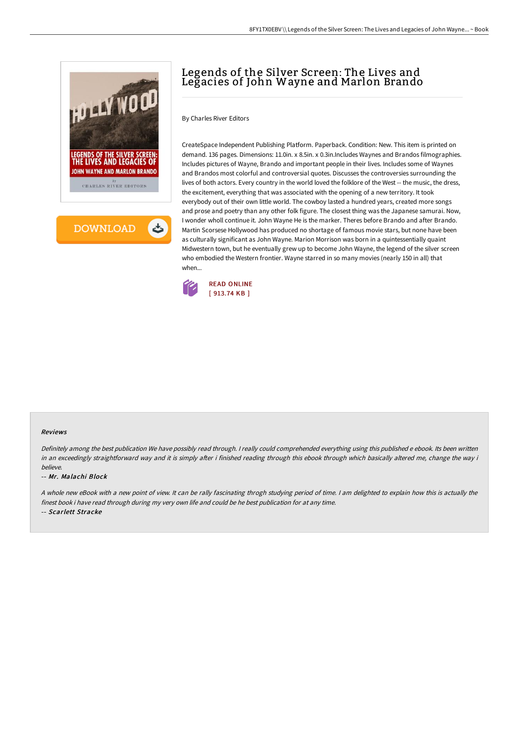



# Legends of the Silver Screen: The Lives and Legacies of John Wayne and Marlon Brando

By Charles River Editors

CreateSpace Independent Publishing Platform. Paperback. Condition: New. This item is printed on demand. 136 pages. Dimensions: 11.0in. x 8.5in. x 0.3in.Includes Waynes and Brandos filmographies. Includes pictures of Wayne, Brando and important people in their lives. Includes some of Waynes and Brandos most colorful and controversial quotes. Discusses the controversies surrounding the lives of both actors. Every country in the world loved the folklore of the West -- the music, the dress, the excitement, everything that was associated with the opening of a new territory. It took everybody out of their own little world. The cowboy lasted a hundred years, created more songs and prose and poetry than any other folk figure. The closest thing was the Japanese samurai. Now, I wonder wholl continue it. John Wayne He is the marker. Theres before Brando and after Brando. Martin Scorsese Hollywood has produced no shortage of famous movie stars, but none have been as culturally significant as John Wayne. Marion Morrison was born in a quintessentially quaint Midwestern town, but he eventually grew up to become John Wayne, the legend of the silver screen who embodied the Western frontier. Wayne starred in so many movies (nearly 150 in all) that when...



#### Reviews

Definitely among the best publication We have possibly read through. <sup>I</sup> really could comprehended everything using this published <sup>e</sup> ebook. Its been written in an exceedingly straightforward way and it is simply after i finished reading through this ebook through which basically altered me, change the way i believe.

#### -- Mr. Malachi Block

<sup>A</sup> whole new eBook with <sup>a</sup> new point of view. It can be rally fascinating throgh studying period of time. <sup>I</sup> am delighted to explain how this is actually the finest book i have read through during my very own life and could be he best publication for at any time.

-- Scarlett Stracke